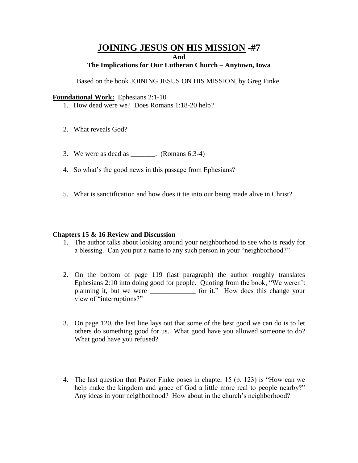# **JOINING JESUS ON HIS MISSION -#7 And**

#### **The Implications for Our Lutheran Church – Anytown, Iowa**

Based on the book JOINING JESUS ON HIS MISSION, by Greg Finke.

#### **Foundational Work: Ephesians 2:1-10**

- 1. How dead were we? Does Romans 1:18-20 help?
- 2. What reveals God?
- 3. We were as dead as \_\_\_\_\_\_\_. (Romans 6:3-4)
- 4. So what's the good news in this passage from Ephesians?
- 5. What is sanctification and how does it tie into our being made alive in Christ?

### **Chapters 15 & 16 Review and Discussion**

- 1. The author talks about looking around your neighborhood to see who is ready for a blessing. Can you put a name to any such person in your "neighborhood?"
- 2. On the bottom of page 119 (last paragraph) the author roughly translates Ephesians 2:10 into doing good for people. Quoting from the book, "We weren't planning it, but we were \_\_\_\_\_\_\_\_\_\_\_\_\_ for it." How does this change your view of "interruptions?"
- 3. On page 120, the last line lays out that some of the best good we can do is to let others do something good for us. What good have you allowed someone to do? What good have you refused?
- 4. The last question that Pastor Finke poses in chapter 15 (p. 123) is "How can we help make the kingdom and grace of God a little more real to people nearby?" Any ideas in your neighborhood? How about in the church's neighborhood?